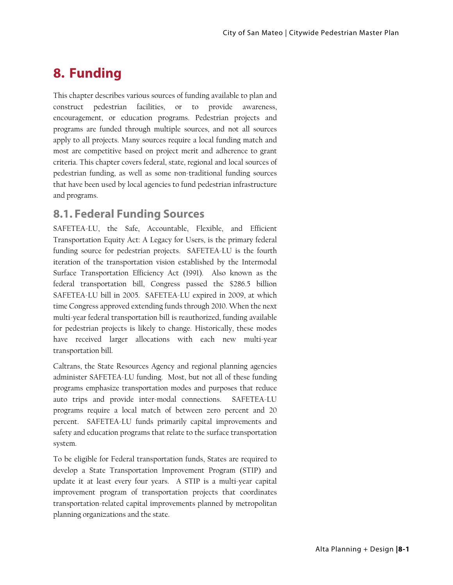# **8. Funding**

This chapter describes various sources of funding available to plan and construct pedestrian facilities, or to provide awareness, encouragement, or education programs. Pedestrian projects and programs are funded through multiple sources, and not all sources apply to all projects. Many sources require a local funding match and most are competitive based on project merit and adherence to grant criteria. This chapter covers federal, state, regional and local sources of pedestrian funding, as well as some non-traditional funding sources that have been used by local agencies to fund pedestrian infrastructure and programs.

# **8.1. Federal Funding Sources**

SAFETEA-LU, the Safe, Accountable, Flexible, and Efficient Transportation Equity Act: A Legacy for Users, is the primary federal funding source for pedestrian projects. SAFETEA-LU is the fourth iteration of the transportation vision established by the Intermodal Surface Transportation Efficiency Act (1991). Also known as the federal transportation bill, Congress passed the \$286.5 billion SAFETEA-LU bill in 2005. SAFETEA-LU expired in 2009, at which time Congress approved extending funds through 2010. When the next multi-year federal transportation bill is reauthorized, funding available for pedestrian projects is likely to change. Historically, these modes have received larger allocations with each new multi-year transportation bill.

Caltrans, the State Resources Agency and regional planning agencies administer SAFETEA-LU funding. Most, but not all of these funding programs emphasize transportation modes and purposes that reduce auto trips and provide inter-modal connections. SAFETEA-LU programs require a local match of between zero percent and 20 percent. SAFETEA-LU funds primarily capital improvements and safety and education programs that relate to the surface transportation system.

To be eligible for Federal transportation funds, States are required to develop a State Transportation Improvement Program (STIP) and update it at least every four years. A STIP is a multi-year capital improvement program of transportation projects that coordinates transportation-related capital improvements planned by metropolitan planning organizations and the state.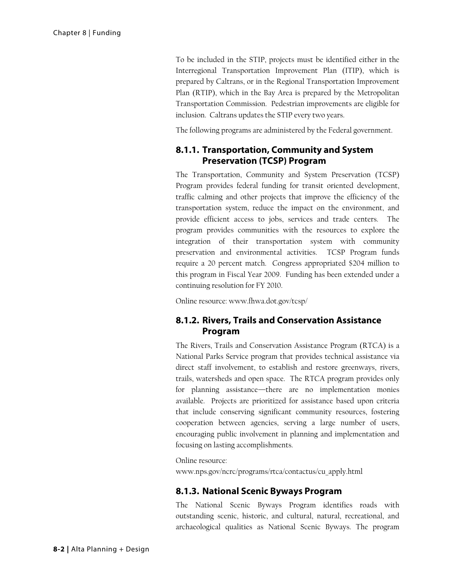To be included in the STIP, projects must be identified either in the Interregional Transportation Improvement Plan (ITIP), which is prepared by Caltrans, or in the Regional Transportation Improvement Plan (RTIP), which in the Bay Area is prepared by the Metropolitan Transportation Commission. Pedestrian improvements are eligible for inclusion. Caltrans updates the STIP every two years.

The following programs are administered by the Federal government.

#### **8.1.1. Transportation, Community and System Preservation (TCSP) Program**

The Transportation, Community and System Preservation (TCSP) Program provides federal funding for transit oriented development, traffic calming and other projects that improve the efficiency of the transportation system, reduce the impact on the environment, and provide efficient access to jobs, services and trade centers. The program provides communities with the resources to explore the integration of their transportation system with community preservation and environmental activities. TCSP Program funds require a 20 percent match. Congress appropriated \$204 million to this program in Fiscal Year 2009. Funding has been extended under a continuing resolution for FY 2010.

Online resource: www.fhwa.dot.gov/tcsp/

#### **8.1.2. Rivers, Trails and Conservation Assistance Program**

The Rivers, Trails and Conservation Assistance Program (RTCA) is a National Parks Service program that provides technical assistance via direct staff involvement, to establish and restore greenways, rivers, trails, watersheds and open space. The RTCA program provides only for planning assistance—there are no implementation monies available. Projects are prioritized for assistance based upon criteria that include conserving significant community resources, fostering cooperation between agencies, serving a large number of users, encouraging public involvement in planning and implementation and focusing on lasting accomplishments.

Online resource:

www.nps.gov/ncrc/programs/rtca/contactus/cu\_apply.html

#### **8.1.3. National Scenic Byways Program**

The National Scenic Byways Program identifies roads with outstanding scenic, historic, and cultural, natural, recreational, and archaeological qualities as National Scenic Byways. The program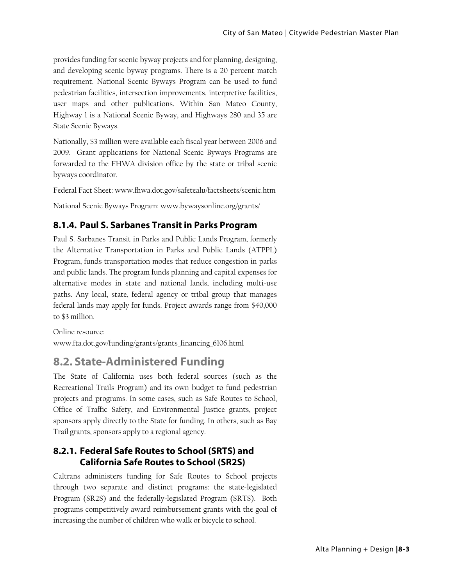provides funding for scenic byway projects and for planning, designing, and developing scenic byway programs. There is a 20 percent match requirement. National Scenic Byways Program can be used to fund pedestrian facilities, intersection improvements, interpretive facilities, user maps and other publications. Within San Mateo County, Highway 1 is a National Scenic Byway, and Highways 280 and 35 are State Scenic Byways.

Nationally, \$3 million were available each fiscal year between 2006 and 2009. Grant applications for National Scenic Byways Programs are forwarded to the FHWA division office by the state or tribal scenic byways coordinator.

Federal Fact Sheet: www.fhwa.dot.gov/safetealu/factsheets/scenic.htm

National Scenic Byways Program: www.bywaysonline.org/grants/

#### **8.1.4. Paul S. Sarbanes Transit in Parks Program**

Paul S. Sarbanes Transit in Parks and Public Lands Program, formerly the Alternative Transportation in Parks and Public Lands (ATPPL) Program, funds transportation modes that reduce congestion in parks and public lands. The program funds planning and capital expenses for alternative modes in state and national lands, including multi-use paths. Any local, state, federal agency or tribal group that manages federal lands may apply for funds. Project awards range from \$40,000 to \$3 million.

Online resource: www.fta.dot.gov/funding/grants/grants\_financing\_6106.html

# **8.2. State-Administered Funding**

The State of California uses both federal sources (such as the Recreational Trails Program) and its own budget to fund pedestrian projects and programs. In some cases, such as Safe Routes to School, Office of Traffic Safety, and Environmental Justice grants, project sponsors apply directly to the State for funding. In others, such as Bay Trail grants, sponsors apply to a regional agency.

#### **8.2.1. Federal Safe Routes to School (SRTS) and California Safe Routes to School (SR2S)**

Caltrans administers funding for Safe Routes to School projects through two separate and distinct programs: the state-legislated Program (SR2S) and the federally-legislated Program (SRTS). Both programs competitively award reimbursement grants with the goal of increasing the number of children who walk or bicycle to school.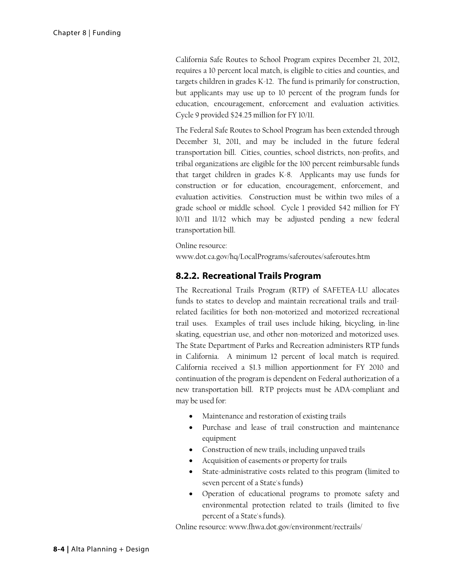California Safe Routes to School Program expires December 21, 2012, requires a 10 percent local match, is eligible to cities and counties, and targets children in grades K-12. The fund is primarily for construction, but applicants may use up to 10 percent of the program funds for education, encouragement, enforcement and evaluation activities. Cycle 9 provided \$24.25 million for FY 10/11.

The Federal Safe Routes to School Program has been extended through December 31, 2011, and may be included in the future federal transportation bill. Cities, counties, school districts, non-profits, and tribal organizations are eligible for the 100 percent reimbursable funds that target children in grades K-8. Applicants may use funds for construction or for education, encouragement, enforcement, and evaluation activities. Construction must be within two miles of a grade school or middle school. Cycle 1 provided \$42 million for FY 10/11 and 11/12 which may be adjusted pending a new federal transportation bill.

Online resource:

www.dot.ca.gov/hq/LocalPrograms/saferoutes/saferoutes.htm

#### **8.2.2. Recreational Trails Program**

The Recreational Trails Program (RTP) of SAFETEA-LU allocates funds to states to develop and maintain recreational trails and trailrelated facilities for both non-motorized and motorized recreational trail uses. Examples of trail uses include hiking, bicycling, in-line skating, equestrian use, and other non-motorized and motorized uses. The State Department of Parks and Recreation administers RTP funds in California. A minimum 12 percent of local match is required. California received a \$1.3 million apportionment for FY 2010 and continuation of the program is dependent on Federal authorization of a new transportation bill. RTP projects must be ADA-compliant and may be used for:

- Maintenance and restoration of existing trails
- Purchase and lease of trail construction and maintenance equipment
- Construction of new trails, including unpaved trails
- Acquisition of easements or property for trails
- State-administrative costs related to this program (limited to seven percent of a State's funds)
- Operation of educational programs to promote safety and environmental protection related to trails (limited to five percent of a State's funds).

Online resource: www.fhwa.dot.gov/environment/rectrails/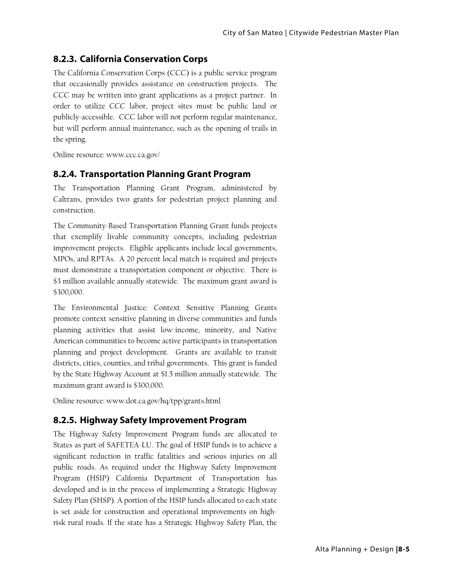# **8.2.3. California Conservation Corps**

The California Conservation Corps (CCC) is a public service program that occasionally provides assistance on construction projects. The CCC may be written into grant applications as a project partner. In order to utilize CCC labor, project sites must be public land or publicly-accessible. CCC labor will not perform regular maintenance, but will perform annual maintenance, such as the opening of trails in the spring.

Online resource: www.ccc.ca.gov/

#### **8.2.4. Transportation Planning Grant Program**

The Transportation Planning Grant Program, administered by Caltrans, provides two grants for pedestrian project planning and construction.

The Community-Based Transportation Planning Grant funds projects that exemplify livable community concepts, including pedestrian improvement projects. Eligible applicants include local governments, MPOs, and RPTAs. A 20 percent local match is required and projects must demonstrate a transportation component or objective. There is \$3 million available annually statewide. The maximum grant award is \$300,000.

The Environmental Justice: Context Sensitive Planning Grants promote context sensitive planning in diverse communities and funds planning activities that assist low-income, minority, and Native American communities to become active participants in transportation planning and project development. Grants are available to transit districts, cities, counties, and tribal governments. This grant is funded by the State Highway Account at \$1.5 million annually statewide. The maximum grant award is \$300,000.

Online resource: www.dot.ca.gov/hq/tpp/grants.html

# **8.2.5. Highway Safety Improvement Program**

The Highway Safety Improvement Program funds are allocated to States as part of SAFETEA-LU. The goal of HSIP funds is to achieve a significant reduction in traffic fatalities and serious injuries on all public roads. As required under the Highway Safety Improvement Program (HSIP) California Department of Transportation has developed and is in the process of implementing a Strategic Highway Safety Plan (SHSP). A portion of the HSIP funds allocated to each state is set aside for construction and operational improvements on highrisk rural roads. If the state has a Strategic Highway Safety Plan, the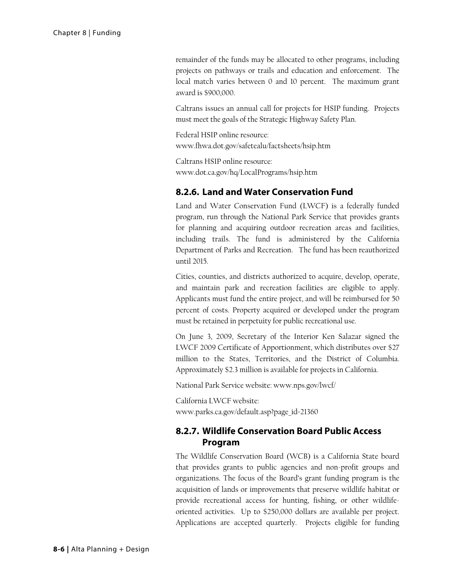remainder of the funds may be allocated to other programs, including projects on pathways or trails and education and enforcement. The local match varies between 0 and 10 percent. The maximum grant award is \$900,000.

Caltrans issues an annual call for projects for HSIP funding. Projects must meet the goals of the Strategic Highway Safety Plan.

Federal HSIP online resource: www.fhwa.dot.gov/safetealu/factsheets/hsip.htm

Caltrans HSIP online resource: www.dot.ca.gov/hq/LocalPrograms/hsip.htm

#### **8.2.6. Land and Water Conservation Fund**

Land and Water Conservation Fund (LWCF) is a federally funded program, run through the National Park Service that provides grants for planning and acquiring outdoor recreation areas and facilities, including trails. The fund is administered by the California Department of Parks and Recreation. The fund has been reauthorized until 2015.

Cities, counties, and districts authorized to acquire, develop, operate, and maintain park and recreation facilities are eligible to apply. Applicants must fund the entire project, and will be reimbursed for 50 percent of costs. Property acquired or developed under the program must be retained in perpetuity for public recreational use.

On June 3, 2009, Secretary of the Interior Ken Salazar signed the LWCF 2009 Certificate of Apportionment, which distributes over \$27 million to the States, Territories, and the District of Columbia. Approximately \$2.3 million is available for projects in California.

National Park Service website: www.nps.gov/lwcf/

California LWCF website: www.parks.ca.gov/default.asp?page\_id=21360

#### **8.2.7. Wildlife Conservation Board Public Access Program**

The Wildlife Conservation Board (WCB) is a California State board that provides grants to public agencies and non-profit groups and organizations. The focus of the Board's grant funding program is the acquisition of lands or improvements that preserve wildlife habitat or provide recreational access for hunting, fishing, or other wildlifeoriented activities. Up to \$250,000 dollars are available per project. Applications are accepted quarterly. Projects eligible for funding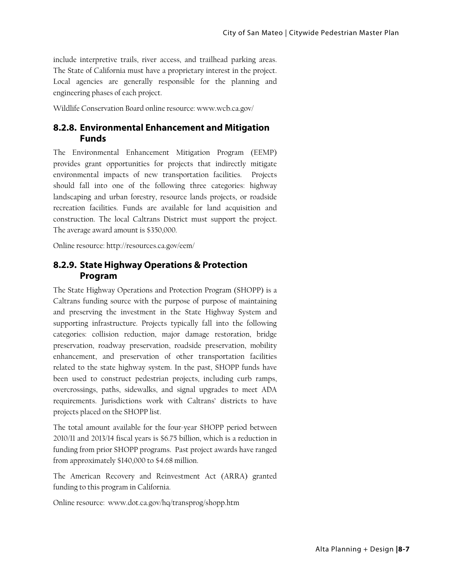include interpretive trails, river access, and trailhead parking areas. The State of California must have a proprietary interest in the project. Local agencies are generally responsible for the planning and engineering phases of each project.

Wildlife Conservation Board online resource: www.wcb.ca.gov/

#### **8.2.8. Environmental Enhancement and Mitigation Funds**

The Environmental Enhancement Mitigation Program (EEMP) provides grant opportunities for projects that indirectly mitigate environmental impacts of new transportation facilities. Projects should fall into one of the following three categories: highway landscaping and urban forestry, resource lands projects, or roadside recreation facilities. Funds are available for land acquisition and construction. The local Caltrans District must support the project. The average award amount is \$350,000.

Online resource: http://resources.ca.gov/eem/

#### **8.2.9. State Highway Operations & Protection Program**

The State Highway Operations and Protection Program (SHOPP) is a Caltrans funding source with the purpose of purpose of maintaining and preserving the investment in the State Highway System and supporting infrastructure. Projects typically fall into the following categories: collision reduction, major damage restoration, bridge preservation, roadway preservation, roadside preservation, mobility enhancement, and preservation of other transportation facilities related to the state highway system. In the past, SHOPP funds have been used to construct pedestrian projects, including curb ramps, overcrossings, paths, sidewalks, and signal upgrades to meet ADA requirements. Jurisdictions work with Caltrans' districts to have projects placed on the SHOPP list.

The total amount available for the four-year SHOPP period between 2010/11 and 2013/14 fiscal years is \$6.75 billion, which is a reduction in funding from prior SHOPP programs. Past project awards have ranged from approximately \$140,000 to \$4.68 million.

The American Recovery and Reinvestment Act (ARRA) granted funding to this program in California.

Online resource: www.dot.ca.gov/hq/transprog/shopp.htm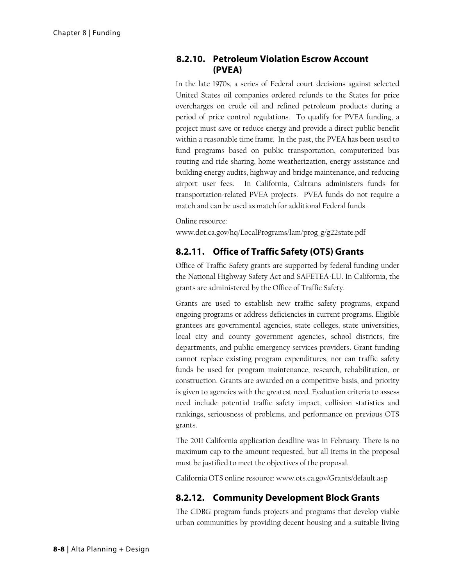#### **8.2.10. Petroleum Violation Escrow Account (PVEA)**

In the late 1970s, a series of Federal court decisions against selected United States oil companies ordered refunds to the States for price overcharges on crude oil and refined petroleum products during a period of price control regulations. To qualify for PVEA funding, a project must save or reduce energy and provide a direct public benefit within a reasonable time frame. In the past, the PVEA has been used to fund programs based on public transportation, computerized bus routing and ride sharing, home weatherization, energy assistance and building energy audits, highway and bridge maintenance, and reducing airport user fees. In California, Caltrans administers funds for transportation-related PVEA projects. PVEA funds do not require a match and can be used as match for additional Federal funds.

Online resource:

www.dot.ca.gov/hq/LocalPrograms/lam/prog\_g/g22state.pdf

### **8.2.11. Office of Traffic Safety (OTS) Grants**

Office of Traffic Safety grants are supported by federal funding under the National Highway Safety Act and SAFETEA-LU. In California, the grants are administered by the Office of Traffic Safety.

Grants are used to establish new traffic safety programs, expand ongoing programs or address deficiencies in current programs. Eligible grantees are governmental agencies, state colleges, state universities, local city and county government agencies, school districts, fire departments, and public emergency services providers. Grant funding cannot replace existing program expenditures, nor can traffic safety funds be used for program maintenance, research, rehabilitation, or construction. Grants are awarded on a competitive basis, and priority is given to agencies with the greatest need. Evaluation criteria to assess need include potential traffic safety impact, collision statistics and rankings, seriousness of problems, and performance on previous OTS grants.

The 2011 California application deadline was in February. There is no maximum cap to the amount requested, but all items in the proposal must be justified to meet the objectives of the proposal.

California OTS online resource: www.ots.ca.gov/Grants/default.asp

#### **8.2.12. Community Development Block Grants**

The CDBG program funds projects and programs that develop viable urban communities by providing decent housing and a suitable living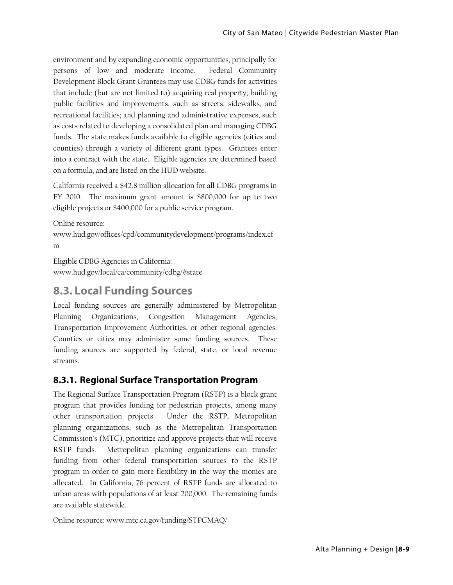environment and by expanding economic opportunities, principally for persons of low and moderate income. Federal Community Development Block Grant Grantees may use CDBG funds for activities that include (but are not limited to) acquiring real property; building public facilities and improvements, such as streets, sidewalks, and recreational facilities; and planning and administrative expenses, such as costs related to developing a consolidated plan and managing CDBG funds. The state makes funds available to eligible agencies (cities and counties) through a variety of different grant types. Grantees enter into a contract with the state. Eligible agencies are determined based on a formula, and are listed on the HUD website.

California received a \$42.8 million allocation for all CDBG programs in FY 2010. The maximum grant amount is \$800,000 for up to two eligible projects or \$400,000 for a public service program.

Online resource:

www.hud.gov/offices/cpd/communitydevelopment/programs/index.cf m

Eligible CDBG Agencies in California: www.hud.gov/local/ca/community/cdbg/#state

# **8.3. Local Funding Sources**

Local funding sources are generally administered by Metropolitan Planning Organizations, Congestion Management Agencies, Transportation Improvement Authorities, or other regional agencies. Counties or cities may administer some funding sources. These funding sources are supported by federal, state, or local revenue streams.

#### **8.3.1. Regional Surface Transportation Program**

The Regional Surface Transportation Program (RSTP) is a block grant program that provides funding for pedestrian projects, among many other transportation projects. Under the RSTP, Metropolitan planning organizations, such as the Metropolitan Transportation Commission's (MTC), prioritize and approve projects that will receive RSTP funds. Metropolitan planning organizations can transfer funding from other federal transportation sources to the RSTP program in order to gain more flexibility in the way the monies are allocated. In California, 76 percent of RSTP funds are allocated to urban areas with populations of at least 200,000. The remaining funds are available statewide.

Online resource: www.mtc.ca.gov/funding/STPCMAQ/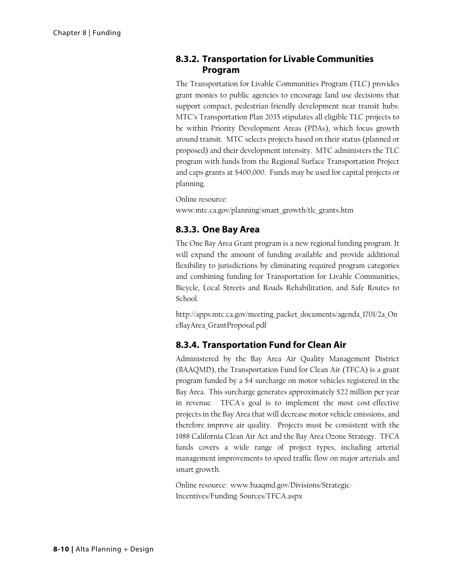#### **8.3.2. Transportation for Livable Communities Program**

The Transportation for Livable Communities Program (TLC) provides grant monies to public agencies to encourage land use decisions that support compact, pedestrian-friendly development near transit hubs. MTC's Transportation Plan 2035 stipulates all eligible TLC projects to be within Priority Development Areas (PDAs), which focus growth around transit. MTC selects projects based on their status (planned or proposed) and their development intensity. MTC administers the TLC program with funds from the Regional Surface Transportation Project and caps grants at \$400,000. Funds may be used for capital projects or planning.

Online resource: www.mtc.ca.gov/planning/smart\_growth/tlc\_grants.htm

### **8.3.3. One Bay Area**

The One Bay Area Grant program is a new regional funding program. It will expand the amount of funding available and provide additional flexibility to jurisdictions by eliminating required program categories and combining funding for Transportation for Livable Communities, Bicycle, Local Streets and Roads Rehabilitation, and Safe Routes to School.

http://apps.mtc.ca.gov/meeting\_packet\_documents/agenda\_1701/2a\_On eBayArea\_GrantProposal.pdf

# **8.3.4. Transportation Fund for Clean Air**

Administered by the Bay Area Air Quality Management District (BAAQMD), the Transportation Fund for Clean Air (TFCA) is a grant program funded by a \$4 surcharge on motor vehicles registered in the Bay Area. This surcharge generates approximately \$22 million per year in revenue. TFCA's goal is to implement the most cost-effective projects in the Bay Area that will decrease motor vehicle emissions, and therefore improve air quality. Projects must be consistent with the 1988 California Clean Air Act and the Bay Area Ozone Strategy. TFCA funds covers a wide range of project types, including arterial management improvements to speed traffic flow on major arterials and smart growth.

Online resource: www.baaqmd.gov/Divisions/Strategic-Incentives/Funding-Sources/TFCA.aspx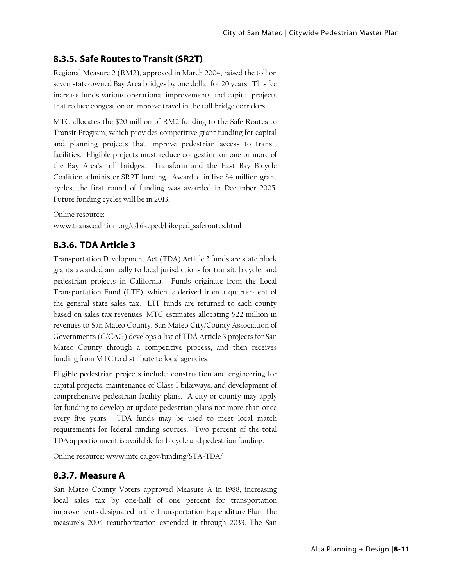# **8.3.5. Safe Routes to Transit (SR2T)**

Regional Measure 2 (RM2), approved in March 2004, raised the toll on seven state-owned Bay Area bridges by one dollar for 20 years. This fee increase funds various operational improvements and capital projects that reduce congestion or improve travel in the toll bridge corridors.

MTC allocates the \$20 million of RM2 funding to the Safe Routes to Transit Program, which provides competitive grant funding for capital and planning projects that improve pedestrian access to transit facilities. Eligible projects must reduce congestion on one or more of the Bay Area's toll bridges. Transform and the East Bay Bicycle Coalition administer SR2T funding. Awarded in five \$4 million grant cycles, the first round of funding was awarded in December 2005. Future funding cycles will be in 2013.

Online resource: www.transcoalition.org/c/bikeped/bikeped\_saferoutes.html

# **8.3.6. TDA Article 3**

Transportation Development Act (TDA) Article 3 funds are state block grants awarded annually to local jurisdictions for transit, bicycle, and pedestrian projects in California. Funds originate from the Local Transportation Fund (LTF), which is derived from a quarter-cent of the general state sales tax. LTF funds are returned to each county based on sales tax revenues. MTC estimates allocating \$22 million in revenues to San Mateo County. San Mateo City/County Association of Governments (C/CAG) develops a list of TDA Article 3 projects for San Mateo County through a competitive process, and then receives funding from MTC to distribute to local agencies.

Eligible pedestrian projects include: construction and engineering for capital projects; maintenance of Class I bikeways, and development of comprehensive pedestrian facility plans. A city or county may apply for funding to develop or update pedestrian plans not more than once every five years. TDA funds may be used to meet local match requirements for federal funding sources. Two percent of the total TDA apportionment is available for bicycle and pedestrian funding.

Online resource: www.mtc.ca.gov/funding/STA-TDA/

#### **8.3.7. Measure A**

San Mateo County Voters approved Measure A in 1988, increasing local sales tax by one-half of one percent for transportation improvements designated in the Transportation Expenditure Plan. The measure's 2004 reauthorization extended it through 2033. The San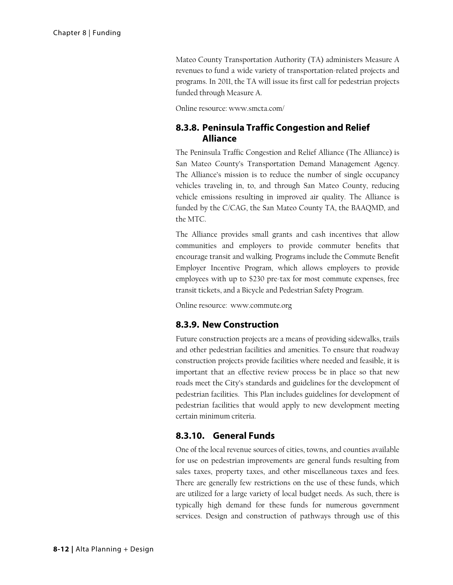Mateo County Transportation Authority (TA) administers Measure A revenues to fund a wide variety of transportation-related projects and programs. In 2011, the TA will issue its first call for pedestrian projects funded through Measure A.

Online resource: www.smcta.com/

#### **8.3.8. Peninsula Traffic Congestion and Relief Alliance**

The Peninsula Traffic Congestion and Relief Alliance (The Alliance) is San Mateo County's Transportation Demand Management Agency. The Alliance's mission is to reduce the number of single occupancy vehicles traveling in, to, and through San Mateo County, reducing vehicle emissions resulting in improved air quality. The Alliance is funded by the C/CAG, the San Mateo County TA, the BAAQMD, and the MTC.

The Alliance provides small grants and cash incentives that allow communities and employers to provide commuter benefits that encourage transit and walking. Programs include the Commute Benefit Employer Incentive Program, which allows employers to provide employees with up to \$230 pre-tax for most commute expenses, free transit tickets, and a Bicycle and Pedestrian Safety Program.

Online resource: www.commute.org

#### **8.3.9. New Construction**

Future construction projects are a means of providing sidewalks, trails and other pedestrian facilities and amenities. To ensure that roadway construction projects provide facilities where needed and feasible, it is important that an effective review process be in place so that new roads meet the City's standards and guidelines for the development of pedestrian facilities. This Plan includes guidelines for development of pedestrian facilities that would apply to new development meeting certain minimum criteria.

#### **8.3.10. General Funds**

One of the local revenue sources of cities, towns, and counties available for use on pedestrian improvements are general funds resulting from sales taxes, property taxes, and other miscellaneous taxes and fees. There are generally few restrictions on the use of these funds, which are utilized for a large variety of local budget needs. As such, there is typically high demand for these funds for numerous government services. Design and construction of pathways through use of this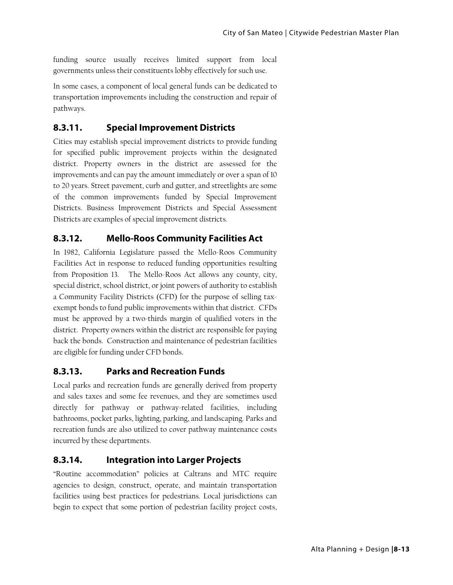funding source usually receives limited support from local governments unless their constituents lobby effectively for such use.

In some cases, a component of local general funds can be dedicated to transportation improvements including the construction and repair of pathways.

#### **8.3.11. Special Improvement Districts**

Cities may establish special improvement districts to provide funding for specified public improvement projects within the designated district. Property owners in the district are assessed for the improvements and can pay the amount immediately or over a span of 10 to 20 years. Street pavement, curb and gutter, and streetlights are some of the common improvements funded by Special Improvement Districts. Business Improvement Districts and Special Assessment Districts are examples of special improvement districts.

#### **8.3.12. Mello-Roos Community Facilities Act**

In 1982, California Legislature passed the Mello-Roos Community Facilities Act in response to reduced funding opportunities resulting from Proposition 13. The Mello-Roos Act allows any county, city, special district, school district, or joint powers of authority to establish a Community Facility Districts (CFD) for the purpose of selling taxexempt bonds to fund public improvements within that district. CFDs must be approved by a two-thirds margin of qualified voters in the district. Property owners within the district are responsible for paying back the bonds. Construction and maintenance of pedestrian facilities are eligible for funding under CFD bonds.

#### **8.3.13. Parks and Recreation Funds**

Local parks and recreation funds are generally derived from property and sales taxes and some fee revenues, and they are sometimes used directly for pathway or pathway-related facilities, including bathrooms, pocket parks, lighting, parking, and landscaping. Parks and recreation funds are also utilized to cover pathway maintenance costs incurred by these departments.

#### **8.3.14. Integration into Larger Projects**

"Routine accommodation" policies at Caltrans and MTC require agencies to design, construct, operate, and maintain transportation facilities using best practices for pedestrians. Local jurisdictions can begin to expect that some portion of pedestrian facility project costs,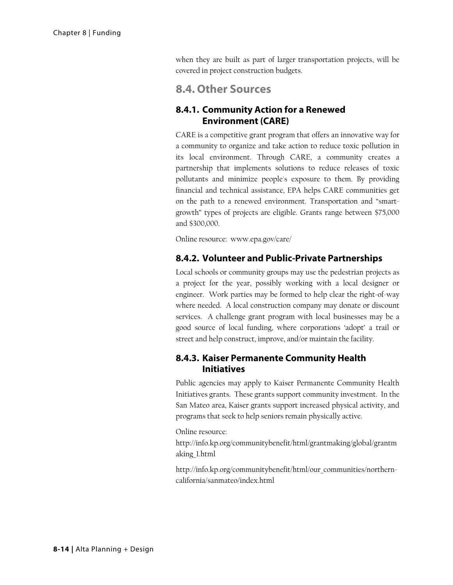when they are built as part of larger transportation projects, will be covered in project construction budgets.

# **8.4. Other Sources**

#### **8.4.1. Community Action for a Renewed Environment (CARE)**

CARE is a competitive grant program that offers an innovative way for a community to organize and take action to reduce toxic pollution in its local environment. Through CARE, a community creates a partnership that implements solutions to reduce releases of toxic pollutants and minimize people's exposure to them. By providing financial and technical assistance, EPA helps CARE communities get on the path to a renewed environment. Transportation and "smartgrowth" types of projects are eligible. Grants range between \$75,000 and \$300,000.

Online resource: www.epa.gov/care/

#### **8.4.2. Volunteer and Public-Private Partnerships**

Local schools or community groups may use the pedestrian projects as a project for the year, possibly working with a local designer or engineer. Work parties may be formed to help clear the right-of-way where needed. A local construction company may donate or discount services. A challenge grant program with local businesses may be a good source of local funding, where corporations 'adopt' a trail or street and help construct, improve, and/or maintain the facility.

#### **8.4.3. Kaiser Permanente Community Health Initiatives**

Public agencies may apply to Kaiser Permanente Community Health Initiatives grants. These grants support community investment. In the San Mateo area, Kaiser grants support increased physical activity, and programs that seek to help seniors remain physically active.

Online resource:

http://info.kp.org/communitybenefit/html/grantmaking/global/grantm aking\_1.html

http://info.kp.org/communitybenefit/html/our\_communities/northerncalifornia/sanmateo/index.html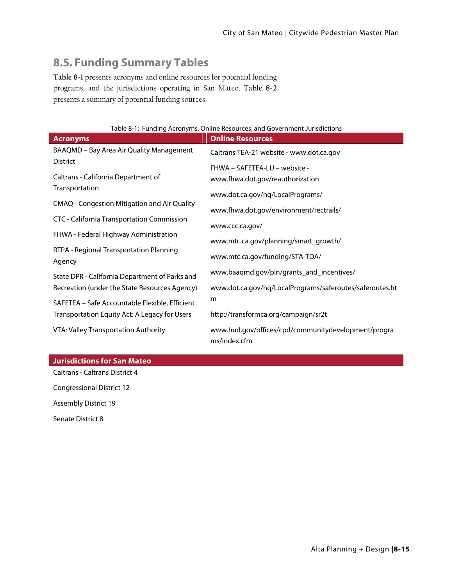# **8.5. Funding Summary Tables**

**Table 8-1** presents acronyms and online resources for potential funding programs, and the jurisdictions operating in San Mateo. **Table 8-2** presents a summary of potential funding sources.

|  |  |  | Table 8-1: Funding Acronyms, Online Resources, and Government Jurisdictions |
|--|--|--|-----------------------------------------------------------------------------|
|  |  |  |                                                                             |

| <b>Acronyms</b>                                             | <b>Online Resources</b>                                             |
|-------------------------------------------------------------|---------------------------------------------------------------------|
| BAAQMD - Bay Area Air Quality Management<br><b>District</b> | Caltrans TEA-21 website - www.dot.ca.gov                            |
|                                                             | FHWA - SAFETEA-LU - website -                                       |
| Caltrans - California Department of<br>Transportation       | www.fhwa.dot.gov/reauthorization                                    |
| <b>CMAQ - Congestion Mitigation and Air Quality</b>         | www.dot.ca.gov/hq/LocalPrograms/                                    |
| CTC - California Transportation Commission                  | www.fhwa.dot.gov/environment/rectrails/                             |
|                                                             | www.ccc.ca.gov/                                                     |
| FHWA - Federal Highway Administration                       | www.mtc.ca.gov/planning/smart_growth/                               |
| RTPA - Regional Transportation Planning<br>Agency           | www.mtc.ca.gov/funding/STA-TDA/                                     |
| State DPR - California Department of Parks and              | www.baaqmd.gov/pln/grants_and_incentives/                           |
| Recreation (under the State Resources Agency)               | www.dot.ca.gov/hq/LocalPrograms/saferoutes/saferoutes.ht            |
| SAFETEA - Safe Accountable Flexible, Efficient              | m                                                                   |
| Transportation Equity Act: A Legacy for Users               | http://transformca.org/campaign/sr2t                                |
| VTA: Valley Transportation Authority                        | www.hud.gov/offices/cpd/communitydevelopment/progra<br>ms/index.cfm |
|                                                             |                                                                     |
| <b>Jurisdictions for San Mateo</b>                          |                                                                     |

Caltrans - Caltrans District 4 Congressional District 12 Assembly District 19 Senate District 8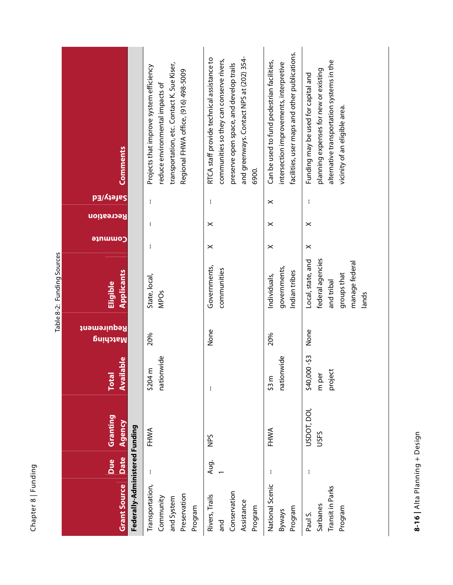| ත<br>¢                   |
|--------------------------|
| г<br>ш.                  |
| $\infty$<br>d.<br>÷<br>٢ |
| ത<br>t<br>L.             |

|                            | Comments                       |                                | transportation, etc. Contact K. Sue Kiser,<br>Projects that improve system efficiency<br>Regional FHWA office, (916) 498-5009<br>reduce environmental impacts of | and greenways. Contact NPS at (202) 354-<br>RTCA staff provide technical assistance to<br>communities so they can conserve rivers,<br>preserve open space, and develop trails<br>6900. | facilities, user maps and other publications.<br>Can be used to fund pedestrian facilities,<br>intersection improvements, interpretive | alternative transportation systems in the<br>planning expenses for new or existing<br>Funding may be used for capital and<br>vicinity of an eligible area. |
|----------------------------|--------------------------------|--------------------------------|------------------------------------------------------------------------------------------------------------------------------------------------------------------|----------------------------------------------------------------------------------------------------------------------------------------------------------------------------------------|----------------------------------------------------------------------------------------------------------------------------------------|------------------------------------------------------------------------------------------------------------------------------------------------------------|
|                            | <b>Safety/Ed</b>               |                                | f,                                                                                                                                                               | ł                                                                                                                                                                                      | $\boldsymbol{\times}$                                                                                                                  | f,                                                                                                                                                         |
|                            | Recreation                     |                                | ł                                                                                                                                                                | ×                                                                                                                                                                                      | $\boldsymbol{\times}$                                                                                                                  | $\boldsymbol{\times}$                                                                                                                                      |
|                            | <b>Commute</b>                 |                                | ł                                                                                                                                                                | $\times$                                                                                                                                                                               | $\boldsymbol{\times}$                                                                                                                  | $\times$                                                                                                                                                   |
| Table 8-2: Funding Sources | Applicants<br>Eligible         |                                | State, local,<br><b>MPOs</b>                                                                                                                                     | Governments,<br>communities                                                                                                                                                            | governments,<br>Indian tribes<br>Individuals,                                                                                          | federal agencies<br>Local, state, and<br>manage federal<br>groups that<br>and tribal<br>lands                                                              |
|                            | Requirement<br><b>Matching</b> |                                | 20%                                                                                                                                                              | None                                                                                                                                                                                   | 20%                                                                                                                                    | None                                                                                                                                                       |
|                            | Available<br><b>Total</b>      |                                | nationwide<br>\$204 m                                                                                                                                            | ł                                                                                                                                                                                      | nationwide<br>\$3 m                                                                                                                    | \$40,000-\$3<br>project<br>m per                                                                                                                           |
|                            | Granting<br>Agency             |                                | FHWA                                                                                                                                                             | SdN                                                                                                                                                                                    | FHWA                                                                                                                                   | USDOT, DOI,<br>USFS                                                                                                                                        |
|                            | Date<br>Due                    |                                |                                                                                                                                                                  | Aug.                                                                                                                                                                                   |                                                                                                                                        | H                                                                                                                                                          |
|                            | <b>Grant Source</b>            | Federally-Administered Funding | Transportation,<br>Preservation<br>Community<br>and System<br>Program                                                                                            | Conservation<br>Rivers, Trails<br>Assistance<br>Program<br>and                                                                                                                         | National Scenic<br>Program<br><b>Byways</b>                                                                                            | Transit in Parks<br>Sarbanes<br>Program<br>Paul S.                                                                                                         |

8-16 | Alta Planning + Design **8-16 |** Alta Planning + Design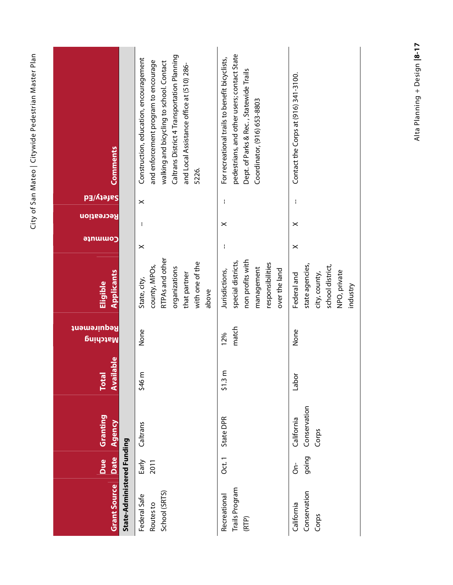| $r - 10r - 12r$<br>こりっき                    |
|--------------------------------------------|
| ייים Pedpet וייי<br>うりりし                   |
| )<br>J                                     |
| ر<br>!<br>.<br>hetM ney                    |
| <br> <br> <br> <br> <br> <br>$\frac{1}{2}$ |
|                                            |

| <b>Comments</b>                                   | Caltrans District 4 Transportation Planning<br>Construction, education, encouragement<br>and enforcement program to encourage<br>walking and bicycling to school. Contact<br>and Local Assistance office at (510) 286-<br>5226. | pedestrians, and other users; contact State<br>For recreational trails to benefit bicyclists,<br>Dept. of Parks & Rec., Statewide Trails<br>Coordinator, (916) 653-8803 | Contact the Corps at (916) 341-3100.                                                            |
|---------------------------------------------------|---------------------------------------------------------------------------------------------------------------------------------------------------------------------------------------------------------------------------------|-------------------------------------------------------------------------------------------------------------------------------------------------------------------------|-------------------------------------------------------------------------------------------------|
| Safety/Ed                                         | $\times$                                                                                                                                                                                                                        | ł                                                                                                                                                                       |                                                                                                 |
| Recreation                                        | ł                                                                                                                                                                                                                               | $\boldsymbol{\times}$                                                                                                                                                   | $\times$                                                                                        |
| <b>Commute</b>                                    | $\times$                                                                                                                                                                                                                        | ł                                                                                                                                                                       | $\times$                                                                                        |
| Applicants<br>Eligible                            | RTPAs and other<br>with one of the<br>county, MPOs,<br>organizations<br>that partner<br>State, city,<br>above                                                                                                                   | non profits with<br>special districts,<br>responsibilities<br>management<br>over the land<br>Jurisdictions,                                                             | state agencies,<br>school district,<br>NPO, private<br>city, county,<br>Federal and<br>industry |
| Requirement<br><b>Natching</b>                    | None                                                                                                                                                                                                                            | match<br>12%                                                                                                                                                            | None                                                                                            |
| ilable<br><b>Total</b><br>Avai                    | \$46 m                                                                                                                                                                                                                          | ε<br>\$1.3                                                                                                                                                              | labor                                                                                           |
| Granting<br>Agency                                | Caltrans                                                                                                                                                                                                                        | State DPR                                                                                                                                                               | Conservation<br>California<br>Corps                                                             |
| <b>Date</b><br>Due                                | Early<br>2011                                                                                                                                                                                                                   | Oct.1                                                                                                                                                                   | going<br>င်                                                                                     |
| State-Administered Funding<br><b>Grant Source</b> | School (SRTS)<br>Federal Safe<br>Routes to                                                                                                                                                                                      | Trails Program<br>Recreational<br>(RTP)                                                                                                                                 | Conservation<br>California<br>Corps                                                             |

Alta Planning + Design |8-17 Alta Planning + Design **|8-17**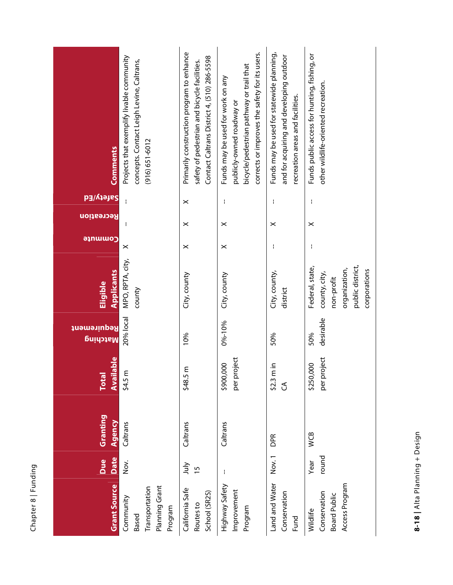| ටා       |
|----------|
|          |
|          |
|          |
|          |
|          |
|          |
| ı        |
|          |
|          |
|          |
|          |
| $\infty$ |
|          |
|          |
| ٢        |
| ۰        |
| \$       |
|          |
| ത        |
|          |

| <b>Comments</b>                | Projects that exemplify livable community<br>concepts. Contact Leigh Levine, Caltrans,<br>$(916) 651 - 6012$ | Primarily construction program to enhance<br>Contact Caltrans District 4, (510) 286-5598<br>safety of pedestrian and bicycle facilities. | corrects or improves the safety for its users.<br>bicycle/pedestrian pathway or trail that<br>Funds may be used for work on any<br>publicly-owned roadway or | Funds may be used for statewide planning,<br>and for acquiring and developing outdoor<br>recreation areas and facilities. | Funds public access for hunting, fishing, or<br>other wildlife-oriented recreation.                 |
|--------------------------------|--------------------------------------------------------------------------------------------------------------|------------------------------------------------------------------------------------------------------------------------------------------|--------------------------------------------------------------------------------------------------------------------------------------------------------------|---------------------------------------------------------------------------------------------------------------------------|-----------------------------------------------------------------------------------------------------|
| bafety/Ed                      |                                                                                                              | $\times$                                                                                                                                 | ł                                                                                                                                                            | ł                                                                                                                         | ł                                                                                                   |
| <mark>Recreation</mark>        |                                                                                                              | $\boldsymbol{\times}$                                                                                                                    | $\times$                                                                                                                                                     | $\boldsymbol{\times}$                                                                                                     | $\times$                                                                                            |
| <b>Commute</b>                 | $\times$                                                                                                     | $\times$                                                                                                                                 | $\times$                                                                                                                                                     | ł                                                                                                                         | ł                                                                                                   |
| <b>Applicants</b><br>Eligible  | MPO, RPTA, city,<br>county                                                                                   | City, county                                                                                                                             | City, county                                                                                                                                                 | City, county,<br>district                                                                                                 | public district,<br>Federal, state,<br>organization,<br>corporations<br>county, city,<br>non-profit |
| <b>Requirement</b><br>Matching | 20% local                                                                                                    | 10%                                                                                                                                      | 0%-10%                                                                                                                                                       | 50%                                                                                                                       | desirable<br>50%                                                                                    |
| Available<br>Total             | ε<br>54.5 <sub>1</sub>                                                                                       | $\epsilon$<br>\$48.5                                                                                                                     | per project<br>\$900,000                                                                                                                                     | ain<br>52.3r<br>3                                                                                                         | per project<br>\$250,000                                                                            |
| Granting<br>Agency             | Caltrans                                                                                                     | Caltrans                                                                                                                                 | Caltrans                                                                                                                                                     | DPR                                                                                                                       | WCB                                                                                                 |
| Date<br>Due                    | Nov.                                                                                                         | <b>Nuly</b><br>$\frac{5}{1}$                                                                                                             | ł                                                                                                                                                            | Nov.1                                                                                                                     | round<br>Year                                                                                       |
| <b>Grant Source</b>            | Planning Grant<br>Transportation<br>Community<br>Program<br>Based                                            | California Safe<br>School (SR2S)<br>Routes to                                                                                            | Highway Safety<br>Improvement<br>Program                                                                                                                     | Land and Water<br>Conservation<br>Fund                                                                                    | Access Program<br>Conservation<br><b>Board Public</b><br>Wildlife                                   |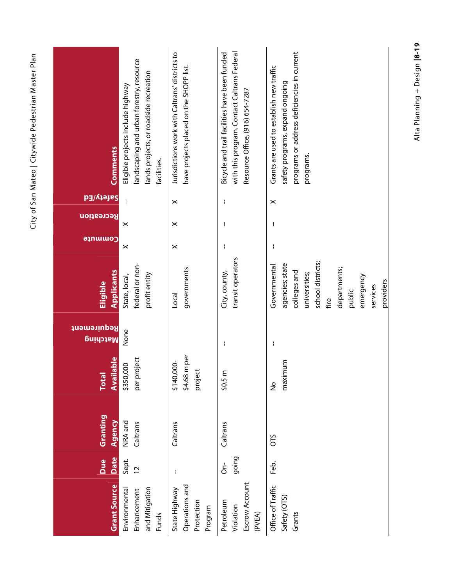| <b>Comments</b>                  | andscaping and urban forestry, resource<br>lands projects, or roadside recreation<br>Eligible projects include highway<br>facilities. | Jurisdictions work with Caltrans' districts to<br>have projects placed on the SHOPP list. | with this program. Contact Caltrans Federal<br>Bicycle and trail facilities have been funded<br>Resource Office, (916) 654-7287 | programs or address deficiencies in current<br>Grants are used to establish new traffic<br>safety programs, expand ongoing<br>programs.                       |
|----------------------------------|---------------------------------------------------------------------------------------------------------------------------------------|-------------------------------------------------------------------------------------------|---------------------------------------------------------------------------------------------------------------------------------|---------------------------------------------------------------------------------------------------------------------------------------------------------------|
| <b>Safety/Ed</b>                 |                                                                                                                                       | $\times$                                                                                  | f.                                                                                                                              | $\times$                                                                                                                                                      |
| <b>Recreation</b>                | ×                                                                                                                                     | $\times$                                                                                  | ł                                                                                                                               |                                                                                                                                                               |
| commute                          | $\times$                                                                                                                              | $\times$                                                                                  | $\mathbf{I}$                                                                                                                    | ÷                                                                                                                                                             |
| Applicants<br>Eligible           | federal or non-<br>profit entity<br>State, local,                                                                                     | governments<br>Local                                                                      | transit operators<br>City, county,                                                                                              | school districts;<br>agencies; state<br>Governmental<br>departments;<br>colleges and<br>universities;<br>emergency<br>providers<br>services<br>public<br>fire |
| Requirement<br>Matching          | None                                                                                                                                  |                                                                                           | ł                                                                                                                               | ł                                                                                                                                                             |
| <b>Available</b><br><b>Total</b> | per project<br>\$350,000                                                                                                              | \$4.68 m per<br>\$140,000-<br>project                                                     | $\mathsf E$<br>50.5                                                                                                             | maximum<br>$\frac{1}{2}$                                                                                                                                      |
| Granting<br>Agency               | NRA and<br>Caltrans                                                                                                                   | Caltrans                                                                                  | Caltrans                                                                                                                        | <b>OTS</b>                                                                                                                                                    |
| Date<br>Due                      | Sept.<br>$\overline{C}$                                                                                                               | ł                                                                                         | going<br>$\overline{\overline{5}}$                                                                                              | န္မ                                                                                                                                                           |
| <b>Grant Source</b>              | and Mitigation<br>Environmental<br>Enhancement<br>Funds                                                                               | Operations and<br>State Highway<br>Protection<br>Program                                  | Escrow Account<br>Petroleum<br>Violation<br>(PVEA)                                                                              | Office of Traffic<br>Safety (OTS)<br>Grants                                                                                                                   |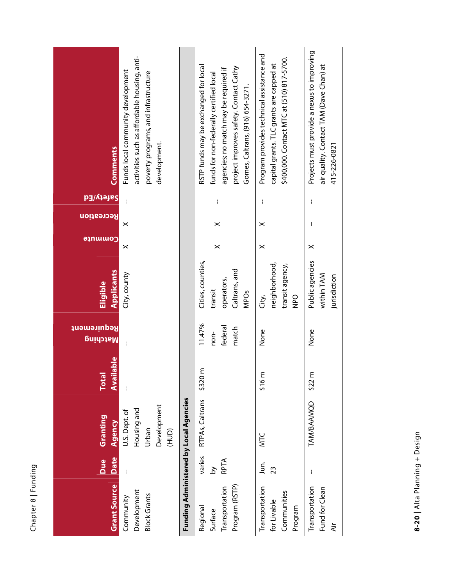| ටා       |
|----------|
|          |
|          |
|          |
|          |
|          |
| ı        |
|          |
|          |
|          |
| $\infty$ |
|          |
|          |
| C        |
| ۰        |
| ţ.       |
| æ        |
|          |
|          |

| <b>Comments</b>                  | activities such as affordable housing, anti-<br>Funds local community development<br>poverty programs, and infrastructure<br>development. |                                        | RSTP funds may be exchanged for local<br>project improves safety. Contact Cathy<br>agencies; no match may be required if<br>funds for non-federally certified local<br>Gomes, Caltrans, (916) 654-3271. | Program provides technical assistance and<br>\$400,000. Contact MTC at (510) 817-5700.<br>capital grants. TLC grants are capped at | Projects must provide a nexus to improving<br>air quality. Contact TAM (Dave Chan) at<br>415-226-0821 |
|----------------------------------|-------------------------------------------------------------------------------------------------------------------------------------------|----------------------------------------|---------------------------------------------------------------------------------------------------------------------------------------------------------------------------------------------------------|------------------------------------------------------------------------------------------------------------------------------------|-------------------------------------------------------------------------------------------------------|
| Safety/Ed                        | ł                                                                                                                                         |                                        | $\mathbf{I}$                                                                                                                                                                                            | ł                                                                                                                                  | $\mathbf{I}$                                                                                          |
| Recreation                       | ×                                                                                                                                         |                                        | $\times$                                                                                                                                                                                                | $\times$                                                                                                                           | ł                                                                                                     |
| <b>Gommute</b>                   | $\times$                                                                                                                                  |                                        | $\times$                                                                                                                                                                                                | $\times$                                                                                                                           | $\times$                                                                                              |
| Applicants<br>Eligible           | City, county                                                                                                                              |                                        | Cities, counties,<br>Caltrans, and<br>operators,<br>transit<br><b>MPOs</b>                                                                                                                              | neighborhood,<br>transit agency,<br><b>OdN</b><br>Čity,                                                                            | Public agencies<br>within TAM<br>jurisdiction                                                         |
| Requirement<br>Matching          |                                                                                                                                           |                                        | 11.47%<br>federal<br>match<br>non-                                                                                                                                                                      | None                                                                                                                               | None                                                                                                  |
| <b>Available</b><br><b>Total</b> |                                                                                                                                           |                                        | \$320 m                                                                                                                                                                                                 | $\epsilon$<br>\$16                                                                                                                 | $\epsilon$<br>\$22                                                                                    |
| Granting<br>Agency               | Development<br>Housing and<br>U.S. Dept. of<br>Urban<br>(HUD)                                                                             |                                        | RTPAs, Caltrans                                                                                                                                                                                         | MTC                                                                                                                                | TAM/BAAMQD                                                                                            |
| Date<br>Due                      | $\mathbf{I}$                                                                                                                              |                                        | varies<br>RPTA<br>$\delta$                                                                                                                                                                              | Jur.<br>23                                                                                                                         | ł                                                                                                     |
| <b>Grant Source</b>              | Development<br><b>Block Grants</b><br>Community                                                                                           | Funding Administered by Local Agencies | Program (RSTP)<br>Transportation<br>Regional<br>Surface                                                                                                                                                 | Transportation<br>Communities<br>for Livable<br>Program                                                                            | Transportation<br>Fund for Clean<br>Αir                                                               |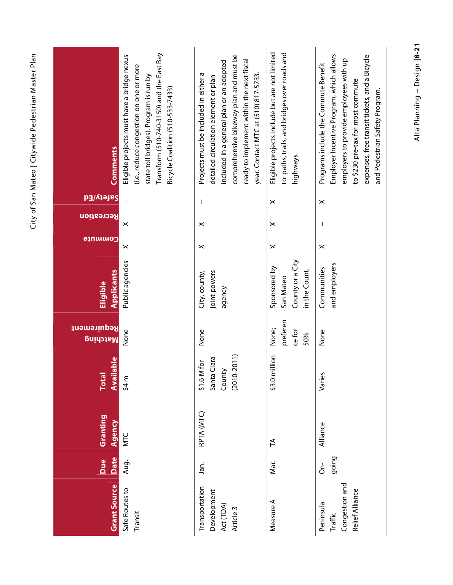| <b>Comments</b><br>Safety/Ed                 | Transform (510-740-3150) and the East Bay<br>Eligible projects must have a bridge nexus<br>(i.e., reduce congestion on one or more<br>state toll bridges). Program is run by<br>Bicycle Coalition (510-533-7433).<br>ł | comprehensive bikeway plan and must be<br>ready to implement within the next fiscal<br>included in a general plan or an adopted<br>year. Contact MTC at (510) 817-5733.<br>Projects must be included in either a<br>detailed circulation element or plan<br>H | Eligible projects include but are not limited<br>to: paths, trails, and bridges over roads and<br>highways.<br>$\boldsymbol{\times}$ | Employer Incentive Program, which allows<br>expenses, free transit tickets, and a Bicycle<br>employers to provide employees with up<br>Programs include the Commute Benefit<br>to \$230 pre-tax for most commute<br>and Pedestrian Safety Program. |
|----------------------------------------------|------------------------------------------------------------------------------------------------------------------------------------------------------------------------------------------------------------------------|---------------------------------------------------------------------------------------------------------------------------------------------------------------------------------------------------------------------------------------------------------------|--------------------------------------------------------------------------------------------------------------------------------------|----------------------------------------------------------------------------------------------------------------------------------------------------------------------------------------------------------------------------------------------------|
| Recreation                                   | $\boldsymbol{\times}$                                                                                                                                                                                                  | $\boldsymbol{\times}$                                                                                                                                                                                                                                         | $\times$                                                                                                                             | $\times$<br>÷                                                                                                                                                                                                                                      |
| anuuo                                        | ×                                                                                                                                                                                                                      | $\boldsymbol{\times}$                                                                                                                                                                                                                                         | $\boldsymbol{\times}$                                                                                                                | $\times$                                                                                                                                                                                                                                           |
| <b>Applicants</b><br>Eligible                | Public agencies                                                                                                                                                                                                        | joint powers<br>City, county,<br>agency                                                                                                                                                                                                                       | County or a City<br>Sponsored by<br>in the Count.<br>San Mateo                                                                       | and employers<br>Communities                                                                                                                                                                                                                       |
| Requirement<br>Matching                      | None                                                                                                                                                                                                                   | None                                                                                                                                                                                                                                                          | preferen<br>None;<br>ce for<br>50%                                                                                                   | None                                                                                                                                                                                                                                               |
| <b>lable</b><br><b>Total</b><br><b>Avail</b> | \$4 m                                                                                                                                                                                                                  | $(2010 - 2011)$<br>Santa Clara<br>\$1.6 M for<br>County                                                                                                                                                                                                       | \$3.0 million                                                                                                                        | Varies                                                                                                                                                                                                                                             |
| Granting<br>Agency                           | MTC                                                                                                                                                                                                                    | RPTA (MTC)                                                                                                                                                                                                                                                    | $\tilde{H}$                                                                                                                          | Alliance                                                                                                                                                                                                                                           |
| Date<br>Due                                  | Aug.                                                                                                                                                                                                                   | Jan.                                                                                                                                                                                                                                                          | Mar.                                                                                                                                 | going<br>$\overline{\delta}$                                                                                                                                                                                                                       |
| <b>Grant Source</b>                          | Safe Routes to<br>Transit                                                                                                                                                                                              | Transportation<br>Development<br>Act (TDA)<br>Article <sub>3</sub>                                                                                                                                                                                            | Measure A                                                                                                                            | Congestion and<br>Relief Alliance<br>Peninsula<br>Traffic                                                                                                                                                                                          |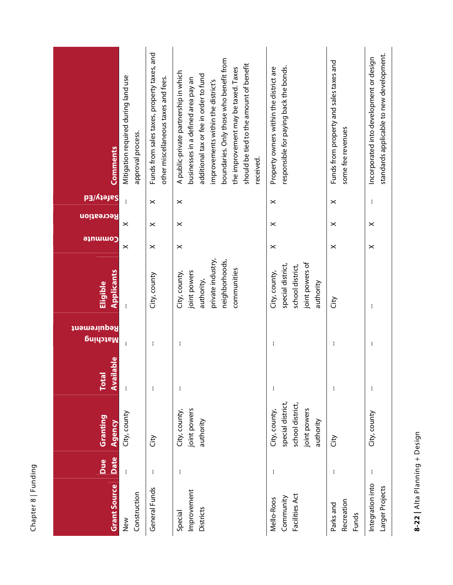| ō<br>ç<br>۰,<br>с<br>⊂<br>щ.     |  |
|----------------------------------|--|
| ∞<br>ā+<br>ć<br>י<br>Ğ<br>ے<br>L |  |

| <b>Comments</b>                | Mitigation required during land use<br>approval process. | Funds from sales taxes, property taxes, and<br>other miscellaneous taxes and fees. | boundaries. Only those who benefit from<br>should be tied to the amount of benefit<br>the improvement may be taxed. Taxes<br>A public-private partnership in which<br>additional tax or fee in order to fund<br>businesses in a defined area pay an<br>improvements within the district's<br>received. | responsible for paying back the bonds.<br>Property owners within the district are      | Funds from property and sales taxes and<br>some fee revenues | standards applicable to new development.<br>Incorporated into development or design |
|--------------------------------|----------------------------------------------------------|------------------------------------------------------------------------------------|--------------------------------------------------------------------------------------------------------------------------------------------------------------------------------------------------------------------------------------------------------------------------------------------------------|----------------------------------------------------------------------------------------|--------------------------------------------------------------|-------------------------------------------------------------------------------------|
| <b>bafety/Ed</b>               |                                                          | $\boldsymbol{\times}$                                                              | $\boldsymbol{\times}$                                                                                                                                                                                                                                                                                  | $\times$                                                                               | $\boldsymbol{\times}$                                        | ł                                                                                   |
| Recreation                     | ×                                                        | $\boldsymbol{\times}$                                                              | $\times$                                                                                                                                                                                                                                                                                               | $\times$                                                                               | $\boldsymbol{\times}$                                        | $\boldsymbol{\times}$                                                               |
| <b>ajnwwo</b>                  | $\times$                                                 | $\boldsymbol{\times}$                                                              | $\times$                                                                                                                                                                                                                                                                                               | $\times$                                                                               | $\boldsymbol{\times}$                                        | $\times$                                                                            |
| <b>Applicants</b><br>Eligible  |                                                          | City, county                                                                       | private industry,<br>neighborhoods,<br>communities<br>joint powers<br>City, county,<br>authority,                                                                                                                                                                                                      | joint powers of<br>special district,<br>school district,<br>City, county,<br>authority | City                                                         | ł                                                                                   |
| Requirement<br><u>Natching</u> |                                                          | ł                                                                                  | ł                                                                                                                                                                                                                                                                                                      |                                                                                        | ł                                                            | ł                                                                                   |
| ilable<br>Tota<br><b>Avai</b>  |                                                          | ł                                                                                  | ł                                                                                                                                                                                                                                                                                                      | ł                                                                                      | ł                                                            | $\mathbf{I}$                                                                        |
| Granting<br>Agency             | City, county                                             | City                                                                               | joint powers<br>City, county,<br>authority                                                                                                                                                                                                                                                             | special district,<br>school district,<br>joint powers<br>City, county,<br>authority    | Ğ                                                            | City, county                                                                        |
| Date<br><b>Due</b>             |                                                          | ł                                                                                  | ł                                                                                                                                                                                                                                                                                                      |                                                                                        | ł                                                            | $\mathbf{I}$                                                                        |
| <b>Grant Source</b>            | Construction<br>New                                      | General Funds                                                                      | Improvement<br><b>Districts</b><br>Special                                                                                                                                                                                                                                                             | Facilities Act<br>Community<br>Mello-Roos                                              | Recreation<br>Parks and<br><b>Funds</b>                      | Integration into<br>Larger Projects                                                 |

8-22 | Alta Planning + Design **8-22 |** Alta Planning + Design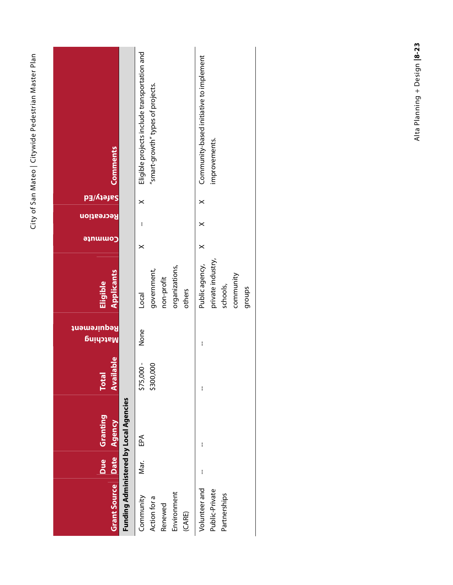| <b>Comments</b>                  |                                               | Eligible projects include transportation and<br>"smart-growth" types of projects. | Community-based initiative to implement<br>improvements.               |
|----------------------------------|-----------------------------------------------|-----------------------------------------------------------------------------------|------------------------------------------------------------------------|
| <b>Safety/Ed</b>                 |                                               |                                                                                   |                                                                        |
| Recreation                       |                                               | $\times$                                                                          | $\times$                                                               |
| <b>ອ</b> ຸກພພ໐ງ                  |                                               | ł                                                                                 | ×                                                                      |
|                                  |                                               | ×                                                                                 | $\times$                                                               |
| <b>Applicants</b><br>Eligible    |                                               | organizations,<br>government,<br>non-profit<br>others<br>Local                    | private industry,<br>Public agency,<br>community<br>schools,<br>groups |
| Requirement<br><u>Natching</u>   |                                               | None                                                                              | I                                                                      |
| <b>Available</b><br><b>Total</b> |                                               | \$75,000 -<br>\$300,000                                                           | I                                                                      |
| Due Granting                     | <b>Funding Administered by Local Agencies</b> | EPA                                                                               | I                                                                      |
|                                  |                                               | Mar.                                                                              | I                                                                      |
| Grant Source Date Agency         |                                               | Environment<br>Community<br>Action for a<br>Renewed<br>(CARE)                     | Volunteer and<br>Public-Private<br>Partnerships                        |